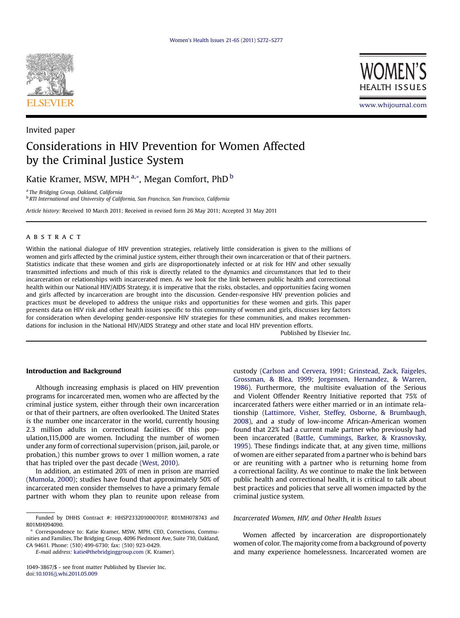

Invited paper



www.whijournal.com

# Considerations in HIV Prevention for Women Affected by the Criminal Justice System

Katie Kramer, MSW, MPH <sup>a,</sup>\*, Megan Comfort, PhD <sup>b</sup>

<sup>a</sup> The Bridging Group, Oakland, California

<sup>b</sup> RTI International and University of California, San Francisco, San Francisco, California

Article history: Received 10 March 2011; Received in revised form 26 May 2011; Accepted 31 May 2011

## **ABSTRACT**

Within the national dialogue of HIV prevention strategies, relatively little consideration is given to the millions of women and girls affected by the criminal justice system, either through their own incarceration or that of their partners. Statistics indicate that these women and girls are disproportionately infected or at risk for HIV and other sexually transmitted infections and much of this risk is directly related to the dynamics and circumstances that led to their incarceration or relationships with incarcerated men. As we look for the link between public health and correctional health within our National HIV/AIDS Strategy, it is imperative that the risks, obstacles, and opportunities facing women and girls affected by incarceration are brought into the discussion. Gender-responsive HIV prevention policies and practices must be developed to address the unique risks and opportunities for these women and girls. This paper presents data on HIV risk and other health issues specific to this community of women and girls, discusses key factors for consideration when developing gender-responsive HIV strategies for these communities, and makes recommendations for inclusion in the National HIV/AIDS Strategy and other state and local HIV prevention efforts.

Published by Elsevier Inc.

### Introduction and Background

Although increasing emphasis is placed on HIV prevention programs for incarcerated men, women who are affected by the criminal justice system, either through their own incarceration or that of their partners, are often overlooked. The United States is the number one incarcerator in the world, currently housing 2.3 million adults in correctional facilities. Of this population,115,000 are women. Including the number of women under any form of correctional supervision (prison, jail, parole, or probation,) this number grows to over 1 million women, a rate that has tripled over the past decade [\(West, 2010\)](#page-5-0).

In addition, an estimated 20% of men in prison are married ([Mumola, 2000](#page-5-0)); studies have found that approximately 50% of incarcerated men consider themselves to have a primary female partner with whom they plan to reunite upon release from

E-mail address: [katie@thebridginggroup.com](mailto:katie@thebridginggroup.com) (K. Kramer).

1049-3867/\$ - see front matter Published by Elsevier Inc. doi:[10.1016/j.whi.2011.05.009](http://dx.doi.org/10.1016/j.whi.2011.05.009)

custody ([Carlson and Cervera, 1991; Grinstead, Zack, Faigeles,](#page-4-0) [Grossman, & Blea, 1999](#page-4-0); [Jorgensen, Hernandez, & Warren,](#page-4-0) [1986\)](#page-4-0). Furthermore, the multisite evaluation of the Serious and Violent Offender Reentry Initiative reported that 75% of incarcerated fathers were either married or in an intimate relationship ([Lattimore, Visher, Steffey, Osborne, & Brumbaugh,](#page-4-0) [2008\)](#page-4-0), and a study of low-income African-American women found that 22% had a current male partner who previously had been incarcerated ([Battle, Cummings, Barker, & Krasnovsky,](#page-4-0) [1995\)](#page-4-0). These findings indicate that, at any given time, millions of women are either separated from a partner who is behind bars or are reuniting with a partner who is returning home from a correctional facility. As we continue to make the link between public health and correctional health, it is critical to talk about best practices and policies that serve all women impacted by the criminal justice system.

#### Incarcerated Women, HIV, and Other Health Issues

Women affected by incarceration are disproportionately women of color. The majority come from a background of poverty and many experience homelessness. Incarcerated women are

Funded by DHHS Contract #: HHSP233201000701P, R01MH078743 and R01MH094090.

Correspondence to: Katie Kramer, MSW, MPH, CEO, Corrections, Communities and Families, The Bridging Group, 4096 Piedmont Ave, Suite 710, Oakland, CA 94611. Phone: (510) 499-6730; fax: (510) 923-0429.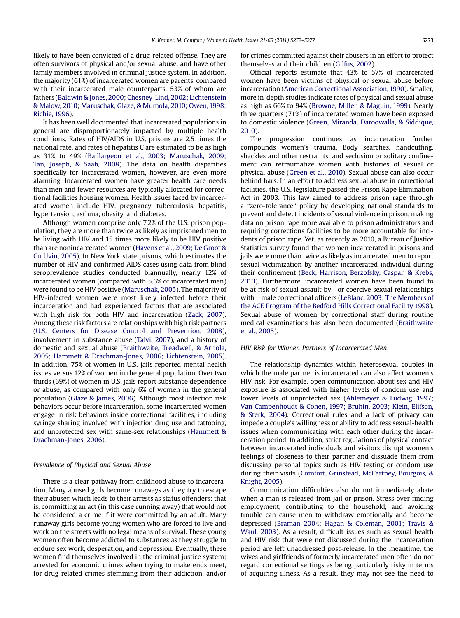likely to have been convicted of a drug-related offense. They are often survivors of physical and/or sexual abuse, and have other family members involved in criminal justice system. In addition, the majority (61%) of incarcerated women are parents, compared with their incarcerated male counterparts, 53% of whom are fathers ([Baldwin & Jones, 2000](#page-4-0); [Chesney-Lind, 2002; Lichtenstein](#page-4-0) [& Malow, 2010;](#page-4-0) [Maruschak, Glaze, & Mumola, 2010; Owen, 1998;](#page-4-0) [Richie, 1996\)](#page-4-0).

It has been well documented that incarcerated populations in general are disproportionately impacted by multiple health conditions. Rates of HIV/AIDS in U.S. prisons are 2.5 times the national rate, and rates of hepatitis C are estimated to be as high as 31% to 49% ([Baillargeon et al., 2003; Maruschak, 2009;](#page-4-0) [Tan, Joseph, & Saab, 2008](#page-4-0)). The data on health disparities specifically for incarcerated women, however, are even more alarming. Incarcerated women have greater health care needs than men and fewer resources are typically allocated for correctional facilities housing women. Health issues faced by incarcerated women include HIV, pregnancy, tuberculosis, hepatitis, hypertension, asthma, obesity, and diabetes.

Although women comprise only 7.2% of the U.S. prison population, they are more than twice as likely as imprisoned men to be living with HIV and 15 times more likely to be HIV positive than are nonincarcerated women ([Havens et al., 2009; De Groot &](#page-4-0) [Cu Uvin, 2005\)](#page-4-0). In New York state prisons, which estimates the number of HIV and confirmed AIDS cases using data from blind seroprevalence studies conducted biannually, nearly 12% of incarcerated women (compared with 5.6% of incarcerated men) were found to be HIV positive [\(Maruschak, 2005\)](#page-4-0). The majority of HIV-infected women were most likely infected before their incarceration and had experienced factors that are associated with high risk for both HIV and incarceration ([Zack, 2007\)](#page-5-0). Among these risk factors are relationships with high risk partners ([U.S. Centers for Disease Control and Prevention, 2008\)](#page-5-0), involvement in substance abuse ([Talvi, 2007\)](#page-5-0), and a history of domestic and sexual abuse [\(Braithwaite, Treadwell, & Arriola,](#page-4-0) [2005; Hammett & Drachman-Jones, 2006; Lichtenstein, 2005\)](#page-4-0). In addition, 75% of women in U.S. jails reported mental health issues versus 12% of women in the general population. Over two thirds (69%) of women in U.S. jails report substance dependence or abuse, as compared with only 6% of women in the general population ([Glaze & James, 2006\)](#page-4-0). Although most infection risk behaviors occur before incarceration, some incarcerated women engage in risk behaviors inside correctional facilities, including syringe sharing involved with injection drug use and tattooing, and unprotected sex with same-sex relationships ([Hammett &](#page-4-0) [Drachman-Jones, 2006\)](#page-4-0).

#### Prevalence of Physical and Sexual Abuse

There is a clear pathway from childhood abuse to incarceration. Many abused girls become runaways as they try to escape their abuser, which leads to their arrests as status offenders; that is, committing an act (in this case running away) that would not be considered a crime if it were committed by an adult. Many runaway girls become young women who are forced to live and work on the streets with no legal means of survival. These young women often become addicted to substances as they struggle to endure sex work, desperation, and depression. Eventually, these women find themselves involved in the criminal justice system; arrested for economic crimes when trying to make ends meet, for drug-related crimes stemming from their addiction, and/or

for crimes committed against their abusers in an effort to protect themselves and their children [\(Gilfus, 2002\)](#page-4-0).

Official reports estimate that 43% to 57% of incarcerated women have been victims of physical or sexual abuse before incarceration ([American Correctional Association, 1990](#page-4-0)). Smaller, more in-depth studies indicate rates of physical and sexual abuse as high as 66% to 94% ([Browne, Miller, & Maguin, 1999\)](#page-4-0). Nearly three quarters (71%) of incarcerated women have been exposed to domestic violence [\(Green, Miranda, Daroowalla, & Siddique,](#page-4-0) [2010\)](#page-4-0).

The progression continues as incarceration further compounds women's trauma. Body searches, handcuffing, shackles and other restraints, and seclusion or solitary confinement can retraumatize women with histories of sexual or physical abuse [\(Green et al., 2010](#page-4-0)). Sexual abuse can also occur behind bars. In an effort to address sexual abuse in correctional facilities, the U.S. legislature passed the Prison Rape Elimination Act in 2003. This law aimed to address prison rape through a "zero-tolerance" policy by developing national standards to prevent and detect incidents of sexual violence in prison, making data on prison rape more available to prison administrators and requiring corrections facilities to be more accountable for incidents of prison rape. Yet, as recently as 2010, a Bureau of Justice Statistics survey found that women incarcerated in prisons and jails were more than twice as likely as incarcerated men to report sexual victimization by another incarcerated individual during their confinement [\(Beck, Harrison, Berzofsky, Caspar, & Krebs,](#page-4-0) [2010\)](#page-4-0). Furthermore, incarcerated women have been found to be at risk of sexual assault by $-$ or coercive sexual relationships with-male correctional officers ([LeBlanc, 2003; The Members of](#page-4-0) [the ACE Program of the Bedford Hills Correctional Facility 1998](#page-4-0)). Sexual abuse of women by correctional staff during routine medical examinations has also been documented [\(Braithwaite](#page-4-0) [et al., 2005](#page-4-0)).

#### HIV Risk for Women Partners of Incarcerated Men

The relationship dynamics within heterosexual couples in which the male partner is incarcerated can also affect women's HIV risk. For example, open communication about sex and HIV exposure is associated with higher levels of condom use and lower levels of unprotected sex ([Ahlemeyer & Ludwig, 1997;](#page-4-0) [Van Campenhoudt & Cohen, 1997; Bruhin, 2003; Klein, Elifson,](#page-4-0) [& Sterk, 2004\)](#page-4-0). Correctional rules and a lack of privacy can impede a couple's willingness or ability to address sexual-health issues when communicating with each other during the incarceration period. In addition, strict regulations of physical contact between incarcerated individuals and visitors disrupt women's feelings of closeness to their partner and dissuade them from discussing personal topics such as HIV testing or condom use during their visits ([Comfort, Grinstead, McCartney, Bourgois, &](#page-4-0) [Knight, 2005](#page-4-0)).

Communication difficulties also do not immediately abate when a man is released from jail or prison. Stress over finding employment, contributing to the household, and avoiding trouble can cause men to withdraw emotionally and become depressed [\(Braman 2004; Hagan & Coleman, 2001; Travis &](#page-4-0) [Waul, 2003\)](#page-4-0). As a result, difficult issues such as sexual health and HIV risk that were not discussed during the incarceration period are left unaddressed post-release. In the meantime, the wives and girlfriends of formerly incarcerated men often do not regard correctional settings as being particularly risky in terms of acquiring illness. As a result, they may not see the need to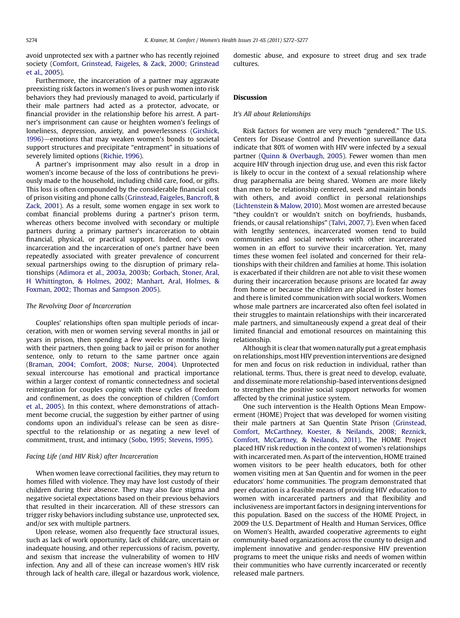avoid unprotected sex with a partner who has recently rejoined society ([Comfort, Grinstead, Faigeles, & Zack, 2000; Grinstead](#page-4-0) [et al., 2005](#page-4-0)).

Furthermore, the incarceration of a partner may aggravate preexisting risk factors in women's lives or push women into risk behaviors they had previously managed to avoid, particularly if their male partners had acted as a protector, advocate, or financial provider in the relationship before his arrest. A partner's imprisonment can cause or heighten women's feelings of loneliness, depression, anxiety, and powerlessness ([Girshick,](#page-4-0)  $1996$ )—emotions that may weaken women's bonds to societal support structures and precipitate "entrapment" in situations of severely limited options [\(Richie, 1996\)](#page-5-0).

A partner's imprisonment may also result in a drop in women's income because of the loss of contributions he previously made to the household, including child care, food, or gifts. This loss is often compounded by the considerable financial cost of prison visiting and phone calls [\(Grinstead, Faigeles, Bancroft, &](#page-4-0) [Zack, 2001\)](#page-4-0). As a result, some women engage in sex work to combat financial problems during a partner's prison term, whereas others become involved with secondary or multiple partners during a primary partner's incarceration to obtain financial, physical, or practical support. Indeed, one's own incarceration and the incarceration of one's partner have been repeatedly associated with greater prevalence of concurrent sexual partnerships owing to the disruption of primary relationships ([Adimora et al., 2003a, 2003b; Gorbach, Stoner, Aral,](#page-4-0) [H Whittington, & Holmes, 2002; Manhart, Aral, Holmes, &](#page-4-0) [Foxman, 2002; Thomas and Sampson 2005\)](#page-4-0).

#### The Revolving Door of Incarceration

Couples' relationships often span multiple periods of incarceration, with men or women serving several months in jail or years in prison, then spending a few weeks or months living with their partners, then going back to jail or prison for another sentence, only to return to the same partner once again ([Braman, 2004; Comfort, 2008; Nurse, 2004](#page-4-0)). Unprotected sexual intercourse has emotional and practical importance within a larger context of romantic connectedness and societal reintegration for couples coping with these cycles of freedom and confinement, as does the conception of children ([Comfort](#page-4-0) [et al., 2005\)](#page-4-0). In this context, where demonstrations of attachment become crucial, the suggestion by either partner of using condoms upon an individual's release can be seen as disrespectful to the relationship or as negating a new level of commitment, trust, and intimacy ([Sobo, 1995; Stevens, 1995](#page-5-0)).

#### Facing Life (and HIV Risk) after Incarceration

When women leave correctional facilities, they may return to homes filled with violence. They may have lost custody of their children during their absence. They may also face stigma and negative societal expectations based on their previous behaviors that resulted in their incarceration. All of these stressors can trigger risky behaviors including substance use, unprotected sex, and/or sex with multiple partners.

Upon release, women also frequently face structural issues, such as lack of work opportunity, lack of childcare, uncertain or inadequate housing, and other repercussions of racism, poverty, and sexism that increase the vulnerability of women to HIV infection. Any and all of these can increase women's HIV risk through lack of health care, illegal or hazardous work, violence, domestic abuse, and exposure to street drug and sex trade cultures.

#### **Discussion**

### It's All about Relationships

Risk factors for women are very much "gendered." The U.S. Centers for Disease Control and Prevention surveillance data indicate that 80% of women with HIV were infected by a sexual partner [\(Quinn & Overbaugh, 2005](#page-5-0)). Fewer women than men acquire HIV through injection drug use, and even this risk factor is likely to occur in the context of a sexual relationship where drug paraphernalia are being shared. Women are more likely than men to be relationship centered, seek and maintain bonds with others, and avoid conflict in personal relationships [\(Lichtenstein & Malow, 2010\)](#page-4-0). Most women are arrested because "they couldn't or wouldn't snitch on boyfriends, husbands, friends, or causal relationships" [\(Talvi, 2007,](#page-5-0) 7). Even when faced with lengthy sentences, incarcerated women tend to build communities and social networks with other incarcerated women in an effort to survive their incarceration. Yet, many times these women feel isolated and concerned for their relationships with their children and families at home. This isolation is exacerbated if their children are not able to visit these women during their incarceration because prisons are located far away from home or because the children are placed in foster homes and there is limited communication with social workers. Women whose male partners are incarcerated also often feel isolated in their struggles to maintain relationships with their incarcerated male partners, and simultaneously expend a great deal of their limited financial and emotional resources on maintaining this relationship.

Although it is clear that women naturally put a great emphasis on relationships, most HIV prevention interventions are designed for men and focus on risk reduction in individual, rather than relational, terms. Thus, there is great need to develop, evaluate, and disseminate more relationship-based interventions designed to strengthen the positive social support networks for women affected by the criminal justice system.

One such intervention is the Health Options Mean Empowerment (HOME) Project that was developed for women visiting their male partners at San Quentin State Prison ([Grinstead,](#page-4-0) [Comfort, McCarthney, Koester, & Neilands, 2008; Reznick,](#page-4-0) [Comfort, McCartney, & Neilands, 2011](#page-4-0)). The HOME Project placed HIV risk reduction in the context of women's relationships with incarcerated men. As part of the intervention, HOME trained women visitors to be peer health educators, both for other women visiting men at San Quentin and for women in the peer educators' home communities. The program demonstrated that peer education is a feasible means of providing HIV education to women with incarcerated partners and that flexibility and inclusiveness are important factors in designing interventions for this population. Based on the success of the HOME Project, in 2009 the U.S. Department of Health and Human Services, Office on Women's Health, awarded cooperative agreements to eight community-based organizations across the county to design and implement innovative and gender-responsive HIV prevention programs to meet the unique risks and needs of women within their communities who have currently incarcerated or recently released male partners.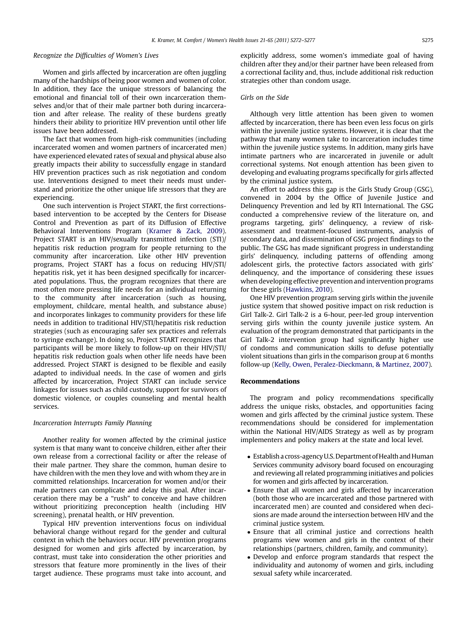#### Recognize the Difficulties of Women's Lives

Women and girls affected by incarceration are often juggling many of the hardships of being poor women and women of color. In addition, they face the unique stressors of balancing the emotional and financial toll of their own incarceration themselves and/or that of their male partner both during incarceration and after release. The reality of these burdens greatly hinders their ability to prioritize HIV prevention until other life issues have been addressed.

The fact that women from high-risk communities (including incarcerated women and women partners of incarcerated men) have experienced elevated rates of sexual and physical abuse also greatly impacts their ability to successfully engage in standard HIV prevention practices such as risk negotiation and condom use. Interventions designed to meet their needs must understand and prioritize the other unique life stressors that they are experiencing.

One such intervention is Project START, the first correctionsbased intervention to be accepted by the Centers for Disease Control and Prevention as part of its Diffusion of Effective Behavioral Interventions Program ([Kramer & Zack, 2009\)](#page-4-0). Project START is an HIV/sexually transmitted infection (STI)/ hepatitis risk reduction program for people returning to the community after incarceration. Like other HIV prevention programs, Project START has a focus on reducing HIV/STI/ hepatitis risk, yet it has been designed specifically for incarcerated populations. Thus, the program recognizes that there are most often more pressing life needs for an individual returning to the community after incarceration (such as housing, employment, childcare, mental health, and substance abuse) and incorporates linkages to community providers for these life needs in addition to traditional HIV/STI/hepatitis risk reduction strategies (such as encouraging safer sex practices and referrals to syringe exchange). In doing so, Project START recognizes that participants will be more likely to follow-up on their HIV/STI/ hepatitis risk reduction goals when other life needs have been addressed. Project START is designed to be flexible and easily adapted to individual needs. In the case of women and girls affected by incarceration, Project START can include service linkages for issues such as child custody, support for survivors of domestic violence, or couples counseling and mental health services.

#### Incarceration Interrupts Family Planning

Another reality for women affected by the criminal justice system is that many want to conceive children, either after their own release from a correctional facility or after the release of their male partner. They share the common, human desire to have children with the men they love and with whom they are in committed relationships. Incarceration for women and/or their male partners can complicate and delay this goal. After incarceration there may be a "rush" to conceive and have children without prioritizing preconception health (including HIV screening), prenatal health, or HIV prevention.

Typical HIV prevention interventions focus on individual behavioral change without regard for the gender and cultural context in which the behaviors occur. HIV prevention programs designed for women and girls affected by incarceration, by contrast, must take into consideration the other priorities and stressors that feature more prominently in the lives of their target audience. These programs must take into account, and

explicitly address, some women's immediate goal of having children after they and/or their partner have been released from a correctional facility and, thus, include additional risk reduction strategies other than condom usage.

#### Girls on the Side

Although very little attention has been given to women affected by incarceration, there has been even less focus on girls within the juvenile justice systems. However, it is clear that the pathway that many women take to incarceration includes time within the juvenile justice systems. In addition, many girls have intimate partners who are incarcerated in juvenile or adult correctional systems. Not enough attention has been given to developing and evaluating programs specifically for girls affected by the criminal justice system.

An effort to address this gap is the Girls Study Group (GSG), convened in 2004 by the Office of Juvenile Justice and Delinquency Prevention and led by RTI International. The GSG conducted a comprehensive review of the literature on, and programs targeting, girls' delinquency, a review of riskassessment and treatment-focused instruments, analysis of secondary data, and dissemination of GSG project findings to the public. The GSG has made significant progress in understanding girls' delinquency, including patterns of offending among adolescent girls, the protective factors associated with girls' delinquency, and the importance of considering these issues when developing effective prevention and intervention programs for these girls [\(Hawkins, 2010](#page-4-0)).

One HIV prevention program serving girls within the juvenile justice system that showed positive impact on risk reduction is Girl Talk-2. Girl Talk-2 is a 6-hour, peer-led group intervention serving girls within the county juvenile justice system. An evaluation of the program demonstrated that participants in the Girl Talk-2 intervention group had significantly higher use of condoms and communication skills to defuse potentially violent situations than girls in the comparison group at 6 months follow-up ([Kelly, Owen, Peralez-Dieckmann, & Martinez, 2007\)](#page-4-0).

#### Recommendations

The program and policy recommendations specifically address the unique risks, obstacles, and opportunities facing women and girls affected by the criminal justice system. These recommendations should be considered for implementation within the National HIV/AIDS Strategy as well as by program implementers and policy makers at the state and local level.

- Establish a cross-agency U.S. Department of Health and Human Services community advisory board focused on encouraging and reviewing all related programming initiatives and policies for women and girls affected by incarceration.
- Ensure that all women and girls affected by incarceration (both those who are incarcerated and those partnered with incarcerated men) are counted and considered when decisions are made around the intersection between HIV and the criminal justice system.
- Ensure that all criminal justice and corrections health programs view women and girls in the context of their relationships (partners, children, family, and community).
- Develop and enforce program standards that respect the individuality and autonomy of women and girls, including sexual safety while incarcerated.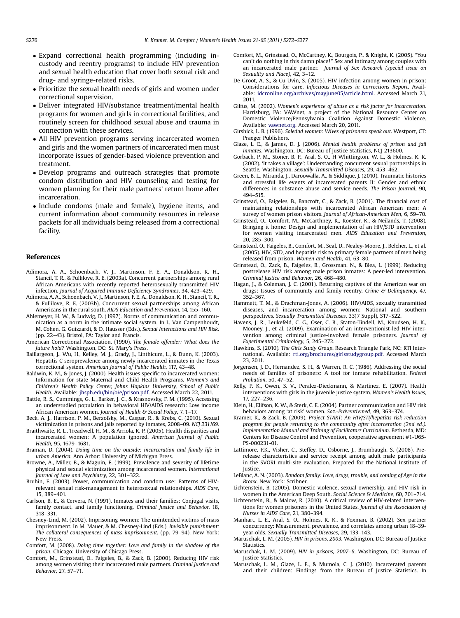- <span id="page-4-0"></span> Expand correctional health programming (including incustody and reentry programs) to include HIV prevention and sexual health education that cover both sexual risk and drug- and syringe-related risks.
- Prioritize the sexual health needs of girls and women under correctional supervision.
- Deliver integrated HIV/substance treatment/mental health programs for women and girls in correctional facilities, and routinely screen for childhood sexual abuse and trauma in connection with these services.
- All HIV prevention programs serving incarcerated women and girls and the women partners of incarcerated men must incorporate issues of gender-based violence prevention and treatment.
- Develop programs and outreach strategies that promote condom distribution and HIV counseling and testing for women planning for their male partners' return home after incarceration.
- Include condoms (male and female), hygiene items, and current information about community resources in release packets for all individuals being released from a correctional facility.

#### References

- Adimora, A. A., Schoenbach, V. J., Martinson, F. E. A., Donaldson, K. H., Stancil, T. R., & Fullilove, R. E. (2003a). Concurrent partnerships among rural African Americans with recently reported heterosexually transmitted HIV infection. Journal of Acquired Immune Deficiency Syndromes, 34, 423–429.
- Adimora, A. A., Schoenbach, V. J., Martinson, F. E. A., Donaldson, K. H., Stancil, T. R., & Fullilove, R. E. (2003b). Concurrent sexual partnerships among African Americans in the rural south. AIDS Education and Prevention, 14, 155–160.
- Ahlemeyer, H. W., & Ludwig, D. (1997). Norms of communication and communication as a norm in the intimate social system. In L. Van Campenhoudt, M. Cohen, G. Guizzardi, & D. Hausser (Eds.), Sexual Interactions and HIV Risk. (pp. 22–43). Bristol, PA: Taylor and Francis.
- American Correctional Association. (1990). The female offender: What does the future hold? Washington, DC: St. Mary's Press.
- Baillargeon, J., Wu, H., Kelley, M. J., Grady, J., Linthicum, L., & Dunn, K. (2003). Hepatitis C seroprevalence among newly incarcerated inmates in the Texas correctional system. American Journal of Public Health, 117, 43–48.
- Baldwin, K. M., & Jones, J. (2000). Health issues specific to incarcerated women: Information for state Maternal and Child Health Programs. Women's and Children's Health Policy Center, Johns Hopkins University, School of Public Health. Available: [jhsph.edu/bin/o/e/prison.pdf](http://jhsph.edu/bin/o/e/prison.pdf). Accessed March 22, 2011.
- Battle, R. S., Cummings, G. L., Barker, J. C., & Krasnovsky, F. M. (1995). Accessing an understudied population in behavioral HIV/AIDS research: Low income African American women. Journal of Health & Social Policy, 7, 1-17.
- Beck, A. J., Harrison, P. M., Berzofsky, M., Caspar, R., & Krebs, C. (2010). Sexual victimization in prisons and jails reported by inmates, 2008–09. NCJ 231169.
- Braithwaite, R. L., Treadwell, H. M., & Arriola, K. P. (2005). Health disparities and incarcerated women: A population ignored. American Journal of Public Health, 95, 1679–1681.
- Braman, D. (2004). Doing time on the outside: incarceration and family life in urban America. Ann Arbor: University of Michigan Press.
- Browne, A., Miller, B., & Maguin, E. (1999). Prevalence and severity of lifetime physical and sexual victimization among incarcerated women. International Journal of Law and Psychiatry, 22, 301–322.
- Bruhin, E. (2003). Power, communication and condom use: Patterns of HIVrelevant sexual risk-management in heterosexual relationships. AIDS Care, 15, 389–401.
- Carlson, B. E., & Cervera, N. (1991). Inmates and their families: Conjugal visits, family contact, and family functioning. Criminal Justice and Behavior, 18, 318–331.
- Chesney-Lind, M. (2002). Imprisoning women: The unintended victims of mass imprisonment. In M. Mauer, & M. Chesney-Lind (Eds.), Invisible punishment: The collateral consequences of mass imprisonment. (pp. 79–94). New York: New Press.
- Comfort, M. (2008). Doing time together: Love and family in the shadow of the prison. Chicago: University of Chicago Press.
- Comfort, M., Grinstead, O., Faigeles, B., & Zack, B. (2000). Reducing HIV risk among women visiting their incarcerated male partners. Criminal Justice and Behavior, 27, 57–71.
- Comfort, M., Grinstead, O., McCartney, K., Bourgois, P., & Knight, K. (2005). "You can't do nothing in this damn place!" Sex and intimacy among couples with an incarcerated male partner. Journal of Sex Research (special issue on Sexuality and Place), 42, 3–12.
- De Groot, A. S., & Cu Uvin, S. (2005). HIV infection among women in prison: Considerations for care. Infectious Diseases in Corrections Report. Available: [idcronline.org/archives/mayjune05/article.html](http://idcronline.org/archives/mayjune05/article.html). Accessed March 21, 2011.
- Gilfus, M. (2002). Women's experience of abuse as a risk factor for incarceration. Harrisburg, PA: VAWnet, a project of the National Resource Center on Domestic Violence/Pennsylvania Coalition Against Domestic Violence. Available: [vawnet.org](http://vawnet.org). Accessed March 20, 2011.
- Girshick, L. B. (1996). Soledad women: Wives of prisoners speak out. Westport, CT: Praeger Publishers.
- Glaze, L. E., & James, D. J. (2006). Mental health problems of prison and jail inmates. Washington, DC: Bureau of Justice Statistics, NCJ 213600.
- Gorbach, P. M., Stoner, B. P., Aral, S. O., H Whittington, W. L., & Holmes, K. K. (2002). 'It takes a village': Understanding concurrent sexual partnerships in Seattle, Washington. Sexually Transmitted Diseases, 29, 453–462.
- Green, B. L., Miranda, J., Daroowalla, A., & Siddique, J. (2010). Traumatic histories and stressful life events of incarcerated parents II: Gender and ethnic differences in substance abuse and service needs. The Prison Journal, 90, 494–515.
- Grinstead, O., Faigeles, B., Bancroft, C., & Zack, B. (2001). The financial cost of maintaining relationships with incarcerated African American men: A survey of women prison visitors. Journal of African-American Men, 6, 59–70.
- Grinstead, O., Comfort, M., McCarthney, K., Koester, K., & Neilands, T. (2008). Bringing it home: Design and implementation of an HIV/STD intervention for women visiting incarcerated men. AIDS Education and Prevention, 20, 285–300.
- Grinstead, O., Faigeles, B., Comfort, M., Seal, D., Nealey-Moore, J., Belcher, L., et al. (2005). HIV, STD, and hepatitis risk to primary female partners of men being released from prison. Women and Health, 41, 63–80.
- Grinstead, O., Zack, B., Faigeles, B., Grossman, N., & Blea, L. (1999). Reducing postrelease HIV risk among male prison inmates: A peer-led intervention. Criminal Justice and Behavior, 26, 468–480.
- Hagan, J., & Coleman, J. C. (2001). Returning captives of the American war on drugs: Issues of community and family reentry. Crime & Delinquency, 47, 352–367.
- Hammett, T. M., & Drachman-Jones, A. (2006). HIV/AIDS, sexually transmitted diseases, and incarceration among women: National and southern perspectives. Sexually Transmitted Diseases, 33(7 Suppl), S17–S22.
- Havens, J. R., Leukefeld, C. G., Oser, C. B., Staton-Tindell, M., Knudsen, H. K., Mooney, J., et al. (2009). Examination of an interventionist-led HIV intervention among criminal justice-involved female prisoners. Journal of Experimental Criminology, 5, 245–272.
- Hawkins, S. (2010). The Girls Study Group. Research Triangle Park, NC: RTI International. Available: [rti.org/brochures/girlsstudygroup.pdf](http://rti.org/brochures/girlsstudygroup.pdf). Accessed March 23, 2011.
- Jorgensen, J. D., Hernandez, S. H., & Warren, R. C. (1986). Addressing the social needs of families of prisoners: A tool for inmate rehabilitation. Federal Probation, 50, 47–52.
- Kelly, P. K., Owen, S. V., Peralez-Dieckmann, & Martinez, E. (2007). Health interventions with girls in the juvenile justice system. Women's Health Issues, 17, 227–236.
- Klein, H., Elifson, K. W., & Sterk, C. E. (2004). Partner communication and HIV risk behaviors among 'at risk' women. Soz.-Präventivmed, 49, 363-374.
- Kramer, K., & Zack, B. (2009). Project START: An HIV/STI/hepatitis risk reduction program for people returning to the community after incarceration (2nd ed.). Implementation Manual and Training of Facilitators Curriculum. Bethesda, MD: Centers for Disease Control and Prevention, cooperative agreement #1-U65- PS-000231-01.
- Lattimore, P.K., Visher, C., Steffey, D., Osborne, J., Brumbaugh, S. (2008). Prerelease characteristics and service receipt among adult male participants in the SVORI multi-site evaluation. Prepared for the National Institute of Justice.
- LeBlanc, A. N. (2003). Random family: Love, drugs, trouble, and coming of Age in the Bronx. New York: Scribner.
- Lichtenstein, B. (2005). Domestic violence, sexual ownership, and HIV risk in women in the American Deep South. Social Science & Medicine, 60, 701-714.
- Lichtenstein, B., & Malow, R. (2010). A critical review of HIV-related interventions for women prisoners in the United States. Journal of the Association of Nurses in AIDS Care, 21, 380–394.
- Manhart, L. E., Aral, S. O., Holmes, K. K., & Foxman, B. (2002). Sex partner concurrency: Measurement, prevalence, and correlates among urban 18–39 year-olds. Sexually Transmitted Diseases, 29, 133–143.
- Maruschak, L. M. (2005). HIV in prisons, 2003. Washington, DC: Bureau of Justice Statistics.
- Maruschak, L. M. (2009). HIV in prisons, 2007–8. Washington, DC: Bureau of Justice Statistics.
- Maruschak, L. M., Glaze, L. E., & Mumola, C. J. (2010). Incarcerated parents and their children: Findings from the Bureau of Justice Statistics. In